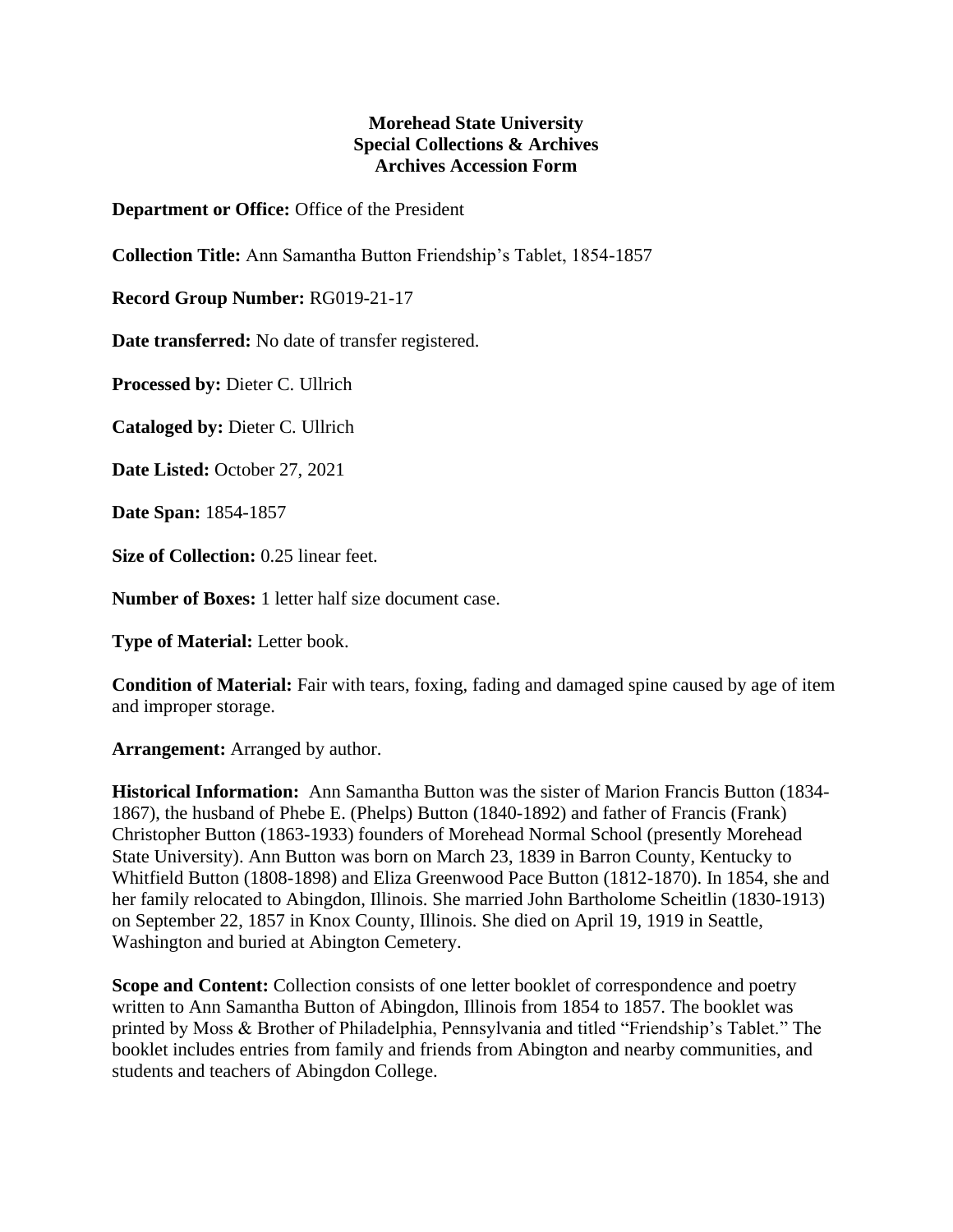## **Morehead State University Special Collections & Archives Archives Accession Form**

**Department or Office:** Office of the President

**Collection Title:** Ann Samantha Button Friendship's Tablet, 1854-1857

**Record Group Number:** RG019-21-17

**Date transferred:** No date of transfer registered.

**Processed by:** Dieter C. Ullrich

**Cataloged by:** Dieter C. Ullrich

**Date Listed:** October 27, 2021

**Date Span:** 1854-1857

**Size of Collection:** 0.25 linear feet.

**Number of Boxes:** 1 letter half size document case.

**Type of Material:** Letter book.

**Condition of Material:** Fair with tears, foxing, fading and damaged spine caused by age of item and improper storage.

**Arrangement:** Arranged by author.

**Historical Information:** Ann Samantha Button was the sister of Marion Francis Button (1834- 1867), the husband of Phebe E. (Phelps) Button (1840-1892) and father of Francis (Frank) Christopher Button (1863-1933) founders of Morehead Normal School (presently Morehead State University). Ann Button was born on March 23, 1839 in Barron County, Kentucky to Whitfield Button (1808-1898) and Eliza Greenwood Pace Button (1812-1870). In 1854, she and her family relocated to Abingdon, Illinois. She married John Bartholome Scheitlin (1830-1913) on September 22, 1857 in Knox County, Illinois. She died on April 19, 1919 in Seattle, Washington and buried at Abington Cemetery.

**Scope and Content:** Collection consists of one letter booklet of correspondence and poetry written to Ann Samantha Button of Abingdon, Illinois from 1854 to 1857. The booklet was printed by Moss & Brother of Philadelphia, Pennsylvania and titled "Friendship's Tablet." The booklet includes entries from family and friends from Abington and nearby communities, and students and teachers of Abingdon College.